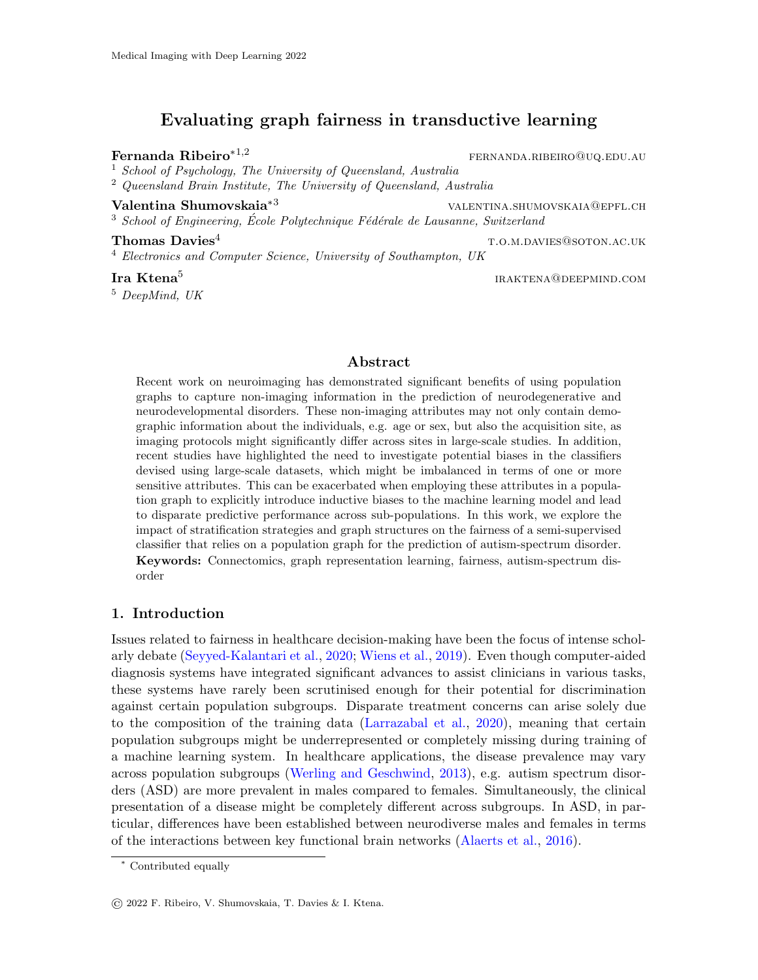# Evaluating graph fairness in transductive learning

Fernanda Ribeiro<sup>\*1,2</sup> fernanda Ribeiro<sup>\*1,2</sup> fernanda RIBEIRO@uq.edu.au

<sup>1</sup> School of Psychology, The University of Queensland, Australia <sup>2</sup> Queensland Brain Institute, The University of Queensland, Australia

Valentina Shumovskaia<sup>∗3</sup> valentina.shumovskaia<sup>∗3</sup>

 $3$  School of Engineering, École Polytechnique Fédérale de Lausanne, Switzerland

**Thomas Davies**<sup>4</sup> the set of the set of the set of the set of the set of the set of the set of the set of the set of the set of the set of the set of the set of the set of the set of the set of the set of the set of the <sup>4</sup> Electronics and Computer Science, University of Southampton, UK

#### Ira Ktena<sup>5</sup>

<sup>5</sup> DeepMind, UK

iraktena@deepmind.com

## Abstract

Recent work on neuroimaging has demonstrated significant benefits of using population graphs to capture non-imaging information in the prediction of neurodegenerative and neurodevelopmental disorders. These non-imaging attributes may not only contain demographic information about the individuals, e.g. age or sex, but also the acquisition site, as imaging protocols might significantly differ across sites in large-scale studies. In addition, recent studies have highlighted the need to investigate potential biases in the classifiers devised using large-scale datasets, which might be imbalanced in terms of one or more sensitive attributes. This can be exacerbated when employing these attributes in a population graph to explicitly introduce inductive biases to the machine learning model and lead to disparate predictive performance across sub-populations. In this work, we explore the impact of stratification strategies and graph structures on the fairness of a semi-supervised classifier that relies on a population graph for the prediction of autism-spectrum disorder. Keywords: Connectomics, graph representation learning, fairness, autism-spectrum disorder

## 1. Introduction

Issues related to fairness in healthcare decision-making have been the focus of intense scholarly debate [\(Seyyed-Kalantari et al.,](#page-2-0) [2020;](#page-2-0) [Wiens et al.,](#page-2-1) [2019\)](#page-2-1). Even though computer-aided diagnosis systems have integrated significant advances to assist clinicians in various tasks, these systems have rarely been scrutinised enough for their potential for discrimination against certain population subgroups. Disparate treatment concerns can arise solely due to the composition of the training data [\(Larrazabal et al.,](#page-2-2) [2020\)](#page-2-2), meaning that certain population subgroups might be underrepresented or completely missing during training of a machine learning system. In healthcare applications, the disease prevalence may vary across population subgroups [\(Werling and Geschwind,](#page-2-3) [2013\)](#page-2-3), e.g. autism spectrum disorders (ASD) are more prevalent in males compared to females. Simultaneously, the clinical presentation of a disease might be completely different across subgroups. In ASD, in particular, differences have been established between neurodiverse males and females in terms of the interactions between key functional brain networks [\(Alaerts et al.,](#page-2-4) [2016\)](#page-2-4).

<sup>∗</sup> Contributed equally

<sup>©</sup> 2022 F. Ribeiro, V. Shumovskaia, T. Davies & I. Ktena.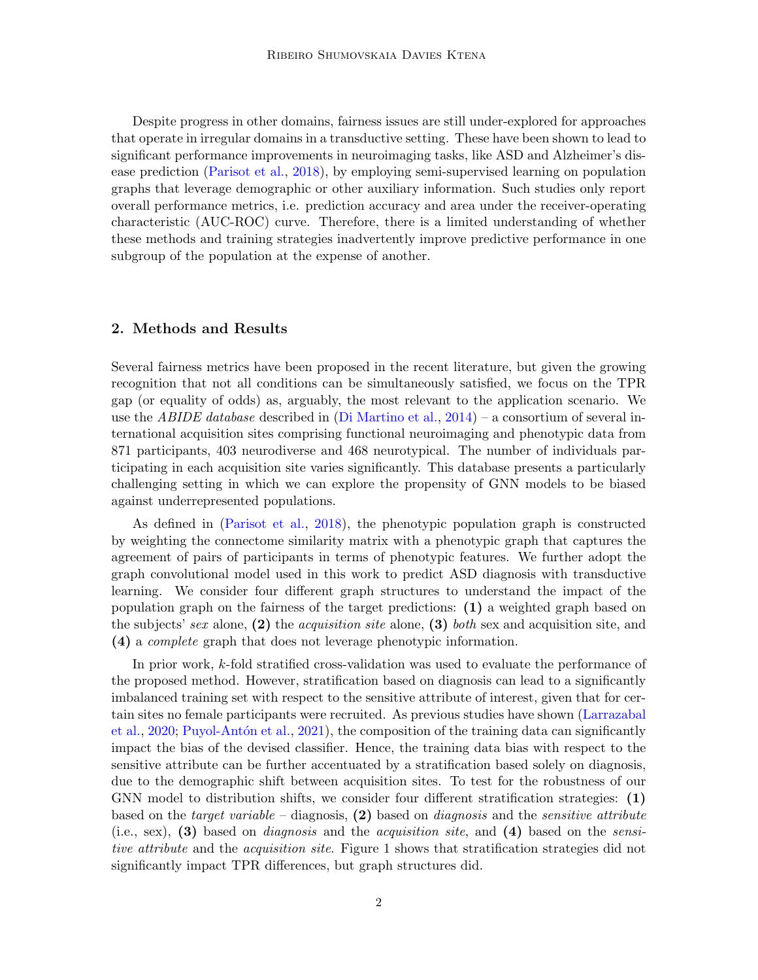Despite progress in other domains, fairness issues are still under-explored for approaches that operate in irregular domains in a transductive setting. These have been shown to lead to significant performance improvements in neuroimaging tasks, like ASD and Alzheimer's disease prediction [\(Parisot et al.,](#page-2-5) [2018\)](#page-2-5), by employing semi-supervised learning on population graphs that leverage demographic or other auxiliary information. Such studies only report overall performance metrics, i.e. prediction accuracy and area under the receiver-operating characteristic (AUC-ROC) curve. Therefore, there is a limited understanding of whether these methods and training strategies inadvertently improve predictive performance in one subgroup of the population at the expense of another.

# 2. Methods and Results

Several fairness metrics have been proposed in the recent literature, but given the growing recognition that not all conditions can be simultaneously satisfied, we focus on the TPR gap (or equality of odds) as, arguably, the most relevant to the application scenario. We use the *ABIDE database* described in [\(Di Martino et al.,](#page-2-6)  $2014$ ) – a consortium of several international acquisition sites comprising functional neuroimaging and phenotypic data from 871 participants, 403 neurodiverse and 468 neurotypical. The number of individuals participating in each acquisition site varies significantly. This database presents a particularly challenging setting in which we can explore the propensity of GNN models to be biased against underrepresented populations.

As defined in [\(Parisot et al.,](#page-2-5) [2018\)](#page-2-5), the phenotypic population graph is constructed by weighting the connectome similarity matrix with a phenotypic graph that captures the agreement of pairs of participants in terms of phenotypic features. We further adopt the graph convolutional model used in this work to predict ASD diagnosis with transductive learning. We consider four different graph structures to understand the impact of the population graph on the fairness of the target predictions: (1) a weighted graph based on the subjects' sex alone,  $(2)$  the *acquisition site* alone,  $(3)$  both sex and acquisition site, and (4) a complete graph that does not leverage phenotypic information.

In prior work, k-fold stratified cross-validation was used to evaluate the performance of the proposed method. However, stratification based on diagnosis can lead to a significantly imbalanced training set with respect to the sensitive attribute of interest, given that for certain sites no female participants were recruited. As previous studies have shown [\(Larrazabal](#page-2-2) [et al.,](#page-2-2)  $2020$ ; Puyol-Antón et al.,  $2021$ ), the composition of the training data can significantly impact the bias of the devised classifier. Hence, the training data bias with respect to the sensitive attribute can be further accentuated by a stratification based solely on diagnosis, due to the demographic shift between acquisition sites. To test for the robustness of our GNN model to distribution shifts, we consider four different stratification strategies: (1) based on the *target variable* – diagnosis,  $(2)$  based on *diagnosis* and the *sensitive attribute* (i.e., sex), (3) based on *diagnosis* and the *acquisition site*, and (4) based on the *sensi*tive attribute and the *acquisition site*. Figure 1 shows that stratification strategies did not significantly impact TPR differences, but graph structures did.